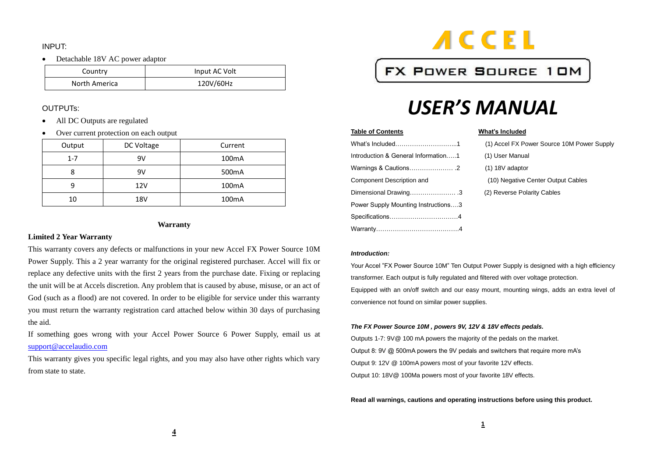### INPUT:

Detachable 18V AC power adaptor

| Country       | Input AC Volt |
|---------------|---------------|
| North America | 120V/60Hz     |

### OUTPUTs:

- All DC Outputs are regulated
- Over current protection on each output

| Output  | DC Voltage | Current            |
|---------|------------|--------------------|
| $1 - 7$ | 9V         | 100 <sub>m</sub> A |
|         | 9V         | 500 <sub>m</sub> A |
| q       | 12V        | 100 <sub>m</sub> A |
| 10      | 18V        | 100 <sub>m</sub> A |

### **Warranty**

### **Limited 2 Year Warranty**

This warranty covers any defects or malfunctions in your new Accel FX Power Source 10M Power Supply. This a 2 year warranty for the original registered purchaser. Accel will fix or replace any defective units with the first 2 years from the purchase date. Fixing or replacing the unit will be at Accels discretion. Any problem that is caused by abuse, misuse, or an act of God (such as a flood) are not covered. In order to be eligible for service under this warranty you must return the warranty registration card attached below within 30 days of purchasing the aid.

If something goes wrong with your Accel Power Source 6 Power Supply, email us at [support@accelaudio.com](mailto:support@accelaudio.com)

This warranty gives you specific legal rights, and you may also have other rights which vary from state to state.



# FX POWER SOURCE 10M

# *USER'S MANUAL*

### **Table of Contents** What's Included

|                                     | (1) Accel FX Power Source 10M Powe |
|-------------------------------------|------------------------------------|
| Introduction & General Information1 | (1) User Manual                    |
|                                     | $(1)$ 18V adaptor                  |
| Component Description and           | (10) Negative Center Output Cables |
| Dimensional Drawing3                | (2) Reverse Polarity Cables        |
| Power Supply Mounting Instructions3 |                                    |
|                                     |                                    |
|                                     |                                    |

| What's Included…………………………1          | (1) Accel FX Power Source 10M Power Supply |
|-------------------------------------|--------------------------------------------|
| Introduction & General Information1 | (1) User Manual                            |
|                                     | $(1)$ 18V adaptor                          |
| Component Description and           | (10) Negative Center Output Cables         |
| Dimensional Drawing3                | (2) Reverse Polarity Cables                |
| Power Supply Mounting Instructions3 |                                            |

### *Introduction:*

Your Accel "FX Power Source 10M" Ten Output Power Supply is designed with a high efficiency transformer. Each output is fully regulated and filtered with over voltage protection. Equipped with an on/off switch and our easy mount, mounting wings, adds an extra level of convenience not found on similar power supplies.

### *The FX Power Source 10M , powers 9V, 12V & 18V effects pedals.*

Outputs 1-7: 9V@ 100 mA powers the majority of the pedals on the market. Output 8: 9V @ 500mA powers the 9V pedals and switchers that require more mA's Output 9: 12V @ 100mA powers most of your favorite 12V effects. Output 10: 18V@ 100Ma powers most of your favorite 18V effects.

### **Read all warnings, cautions and operating instructions before using this product.**